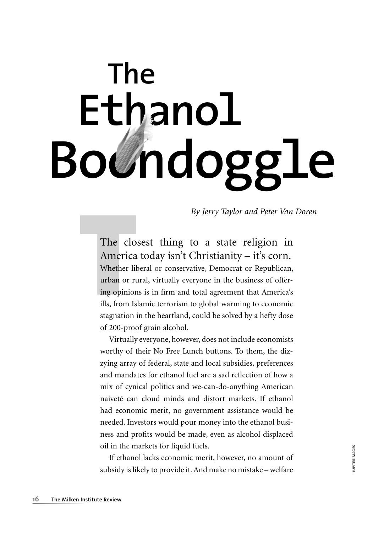# **The Ethanol** Bo*U*ndoggl

*By Jerry Taylor and Peter Van Doren*

## The closest thing to a state religion in America today isn't Christianity – it's corn.

The clo<br>
America<br>
Whether lit<br>
urban or ru<br>
ing opinion<br>
ills, from Is<br>
stagnation i Whether liberal or conservative, Democrat or Republican, urban or rural, virtually everyone in the business of offering opinions is in firm and total agreement that America's ills, from Islamic terrorism to global warming to economic stagnation in the heartland, could be solved by a hefty dose of 200-proof grain alcohol.

Virtually everyone, however, does not include economists worthy of their No Free Lunch buttons. To them, the dizzying array of federal, state and local subsidies, preferences and mandates for ethanol fuel are a sad reflection of how a mix of cynical politics and we-can-do-anything American naiveté can cloud minds and distort markets. If ethanol had economic merit, no government assistance would be needed. Investors would pour money into the ethanol business and profits would be made, even as alcohol displaced oil in the markets for liquid fuels.

If ethanol lacks economic merit, however, no amount of subsidy is likely to provide it. And make no mistake – welfare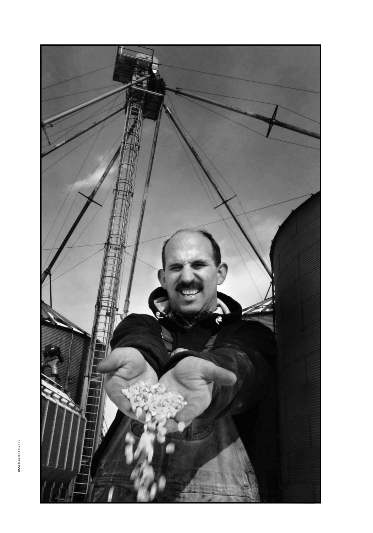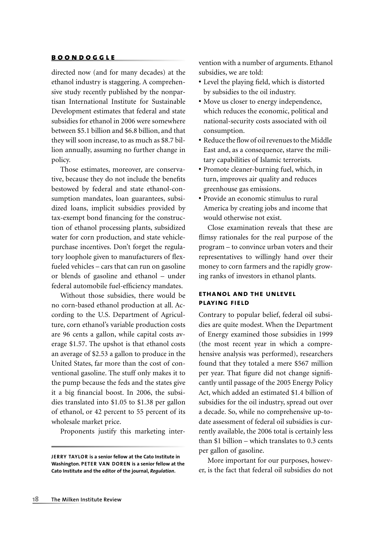directed now (and for many decades) at the ethanol industry is staggering. A comprehensive study recently published by the nonpartisan International Institute for Sustainable Development estimates that federal and state subsidies for ethanol in 2006 were somewhere between \$5.1 billion and \$6.8 billion, and that they will soon increase, to as much as \$8.7 billion annually, assuming no further change in policy.

Those estimates, moreover, are conservative, because they do not include the benefits bestowed by federal and state ethanol-consumption mandates, loan guarantees, subsidized loans, implicit subsidies provided by tax-exempt bond financing for the construction of ethanol processing plants, subsidized water for corn production, and state vehiclepurchase incentives. Don't forget the regulatory loophole given to manufacturers of flexfueled vehicles – cars that can run on gasoline or blends of gasoline and ethanol – under federal automobile fuel-efficiency mandates.

Without those subsidies, there would be no corn-based ethanol production at all. According to the U.S. Department of Agriculture, corn ethanol's variable production costs are 96 cents a gallon, while capital costs average \$1.57. The upshot is that ethanol costs an average of \$2.53 a gallon to produce in the United States, far more than the cost of conventional gasoline. The stuff only makes it to the pump because the feds and the states give it a big financial boost. In 2006, the subsidies translated into \$1.05 to \$1.38 per gallon of ethanol, or 42 percent to 55 percent of its wholesale market price.

Proponents justify this marketing inter-

vention with a number of arguments. Ethanol subsidies, we are told:

- Level the playing field, which is distorted by subsidies to the oil industry.
- **•** Move us closer to energy independence, which reduces the economic, political and national-security costs associated with oil consumption.
- Reduce the flow of oil revenues to the Middle East and, as a consequence, starve the military capabilities of Islamic terrorists.
- **•** Promote cleaner-burning fuel, which, in turn, improves air quality and reduces greenhouse gas emissions.
- **•** Provide an economic stimulus to rural America by creating jobs and income that would otherwise not exist.

Close examination reveals that these are flimsy rationales for the real purpose of the program – to convince urban voters and their representatives to willingly hand over their money to corn farmers and the rapidly growing ranks of investors in ethanol plants.

#### **ethanol and the unlevel playing field**

Contrary to popular belief, federal oil subsidies are quite modest. When the Department of Energy examined those subsidies in 1999 (the most recent year in which a comprehensive analysis was performed), researchers found that they totaled a mere \$567 million per year. That figure did not change significantly until passage of the 2005 Energy Policy Act, which added an estimated \$1.4 billion of subsidies for the oil industry, spread out over a decade. So, while no comprehensive up-todate assessment of federal oil subsidies is currently available, the 2006 total is certainly less than \$1 billion – which translates to 0.3 cents per gallon of gasoline.

More important for our purposes, however, is the fact that federal oil subsidies do not

**J ERRY TAYLOR is a senior fellow at the Cato Institute in Washington. PETER VAN DOREN is a senior fellow at the Cato Institute and the editor of the journal,** *Regulation***.**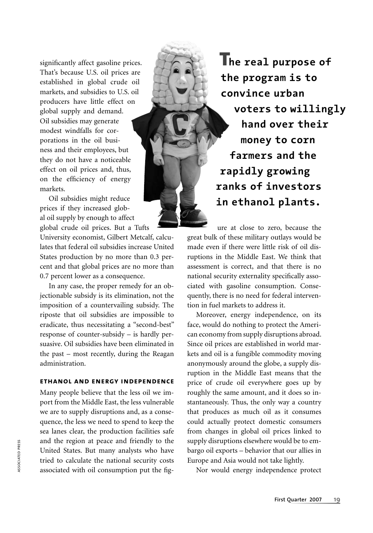significantly affect gasoline prices. That's because U.S. oil prices are established in global crude oil markets, and subsidies to U.S. oil producers have little effect on global supply and demand. Oil subsidies may generate modest windfalls for corporations in the oil business and their employees, but they do not have a noticeable effect on oil prices and, thus, on the efficiency of energy markets.

Oil subsidies might reduce prices if they increased global oil supply by enough to affect global crude oil prices. But a Tufts

University economist, Gilbert Metcalf, calculates that federal oil subsidies increase United States production by no more than 0.3 percent and that global prices are no more than 0.7 percent lower as a consequence.

In any case, the proper remedy for an objectionable subsidy is its elimination, not the imposition of a countervailing subsidy. The riposte that oil subsidies are impossible to eradicate, thus necessitating a "second-best" response of counter-subsidy – is hardly persuasive. Oil subsidies have been eliminated in the past – most recently, during the Reagan administration.

### **ethanol and energy independence**

Many people believe that the less oil we import from the Middle East, the less vulnerable we are to supply disruptions and, as a consequence, the less we need to spend to keep the sea lanes clear, the production facilities safe and the region at peace and friendly to the United States. But many analysts who have tried to calculate the national security costs associated with oil consumption put the fig-

**The real purpose of the program is to convince urban voters to willingly hand over their money to corn farmers and the rapidly growing ranks of investors in ethanol plants.**

ure at close to zero, because the great bulk of these military outlays would be made even if there were little risk of oil disruptions in the Middle East. We think that assessment is correct, and that there is no national security externality specifically associated with gasoline consumption. Consequently, there is no need for federal intervention in fuel markets to address it.

Moreover, energy independence, on its face, would do nothing to protect the American economy from supply disruptions abroad. Since oil prices are established in world markets and oil is a fungible commodity moving anonymously around the globe, a supply disruption in the Middle East means that the price of crude oil everywhere goes up by roughly the same amount, and it does so instantaneously. Thus, the only way a country that produces as much oil as it consumes could actually protect domestic consumers from changes in global oil prices linked to supply disruptions elsewhere would be to embargo oil exports – behavior that our allies in Europe and Asia would not take lightly.

Nor would energy independence protect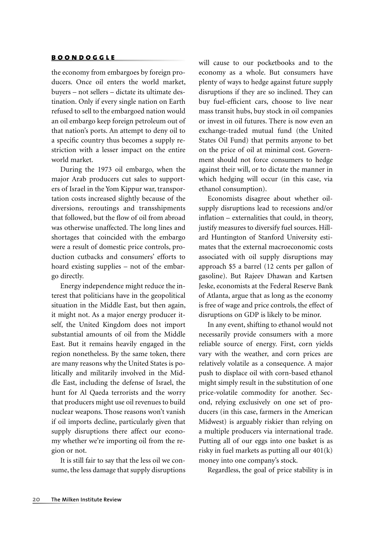the economy from embargoes by foreign producers. Once oil enters the world market, buyers – not sellers – dictate its ultimate destination. Only if every single nation on Earth refused to sell to the embargoed nation would an oil embargo keep foreign petroleum out of that nation's ports. An attempt to deny oil to a specific country thus becomes a supply restriction with a lesser impact on the entire world market.

During the 1973 oil embargo, when the major Arab producers cut sales to supporters of Israel in the Yom Kippur war, transportation costs increased slightly because of the diversions, reroutings and transshipments that followed, but the flow of oil from abroad was otherwise unaffected. The long lines and shortages that coincided with the embargo were a result of domestic price controls, production cutbacks and consumers' efforts to hoard existing supplies – not of the embargo directly.

Energy independence might reduce the interest that politicians have in the geopolitical situation in the Middle East, but then again, it might not. As a major energy producer itself, the United Kingdom does not import substantial amounts of oil from the Middle East. But it remains heavily engaged in the region nonetheless. By the same token, there are many reasons why the United States is politically and militarily involved in the Middle East, including the defense of Israel, the hunt for Al Qaeda terrorists and the worry that producers might use oil revenues to build nuclear weapons. Those reasons won't vanish if oil imports decline, particularly given that supply disruptions there affect our economy whether we're importing oil from the region or not.

It is still fair to say that the less oil we consume, the less damage that supply disruptions will cause to our pocketbooks and to the economy as a whole. But consumers have plenty of ways to hedge against future supply disruptions if they are so inclined. They can buy fuel-efficient cars, choose to live near mass transit hubs, buy stock in oil companies or invest in oil futures. There is now even an exchange-traded mutual fund (the United States Oil Fund) that permits anyone to bet on the price of oil at minimal cost. Government should not force consumers to hedge against their will, or to dictate the manner in which hedging will occur (in this case, via ethanol consumption).

Economists disagree about whether oilsupply disruptions lead to recessions and/or  $inflation - externalities that could, in theory,$ justify measures to diversify fuel sources. Hillard Huntington of Stanford University estimates that the external macroeconomic costs associated with oil supply disruptions may approach \$5 a barrel (12 cents per gallon of gasoline). But Rajeev Dhawan and Kartsen Jeske, economists at the Federal Reserve Bank of Atlanta, argue that as long as the economy is free of wage and price controls, the effect of disruptions on GDP is likely to be minor.

In any event, shifting to ethanol would not necessarily provide consumers with a more reliable source of energy. First, corn yields vary with the weather, and corn prices are relatively volatile as a consequence. A major push to displace oil with corn-based ethanol might simply result in the substitution of one price-volatile commodity for another. Second, relying exclusively on one set of producers (in this case, farmers in the American Midwest) is arguably riskier than relying on a multiple producers via international trade. Putting all of our eggs into one basket is as risky in fuel markets as putting all our 401(k) money into one company's stock.

Regardless, the goal of price stability is in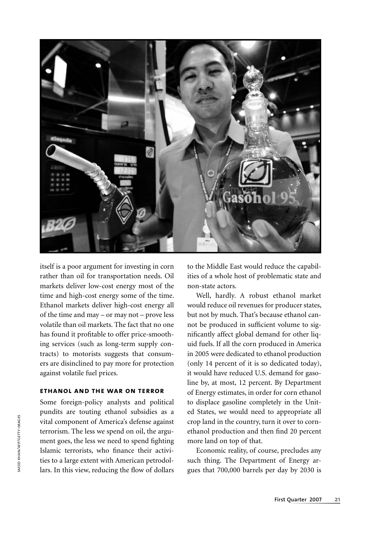

itself is a poor argument for investing in corn rather than oil for transportation needs. Oil markets deliver low-cost energy most of the time and high-cost energy some of the time. Ethanol markets deliver high-cost energy all of the time and may – or may not – prove less volatile than oil markets. The fact that no one has found it profitable to offer price-smoothing services (such as long-term supply contracts) to motorists suggests that consumers are disinclined to pay more for protection against volatile fuel prices.

#### **ethanol and the war on terror**

Some foreign-policy analysts and political pundits are touting ethanol subsidies as a vital component of America's defense against terrorism. The less we spend on oil, the argument goes, the less we need to spend fighting Islamic terrorists, who finance their activities to a large extent with American petrodollars. In this view, reducing the flow of dollars to the Middle East would reduce the capabilities of a whole host of problematic state and non-state actors.

Well, hardly. A robust ethanol market would reduce oil revenues for producer states, but not by much. That's because ethanol cannot be produced in sufficient volume to significantly affect global demand for other liquid fuels. If all the corn produced in America in 2005 were dedicated to ethanol production (only 14 percent of it is so dedicated today), it would have reduced U.S. demand for gasoline by, at most, 12 percent. By Department of Energy estimates, in order for corn ethanol to displace gasoline completely in the United States, we would need to appropriate all crop land in the country, turn it over to cornethanol production and then find 20 percent more land on top of that.

Economic reality, of course, precludes any such thing. The Department of Energy argues that 700,000 barrels per day by 2030 is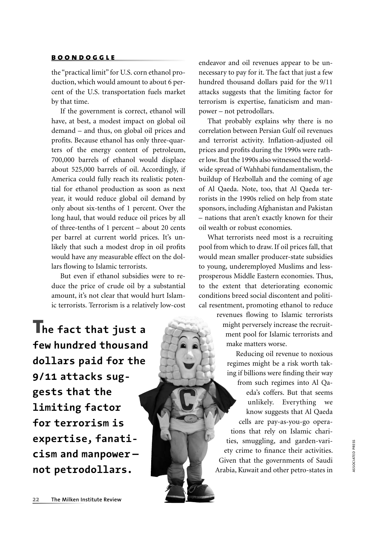the "practical limit" for U.S. corn ethanol production, which would amount to about 6 percent of the U.S. transportation fuels market by that time.

If the government is correct, ethanol will have, at best, a modest impact on global oil demand – and thus, on global oil prices and profits. Because ethanol has only three-quarters of the energy content of petroleum, 700,000 barrels of ethanol would displace about 525,000 barrels of oil. Accordingly, if America could fully reach its realistic potential for ethanol production as soon as next year, it would reduce global oil demand by only about six-tenths of 1 percent. Over the long haul, that would reduce oil prices by all of three-tenths of 1 percent – about 20 cents per barrel at current world prices. It's unlikely that such a modest drop in oil profits would have any measurable effect on the dollars flowing to Islamic terrorists.

But even if ethanol subsidies were to reduce the price of crude oil by a substantial amount, it's not clear that would hurt Islamic terrorists. Terrorism is a relatively low-cost

**The fact that just a few hundred thousand dollars paid for the 9/11 attacks suggests that the limiting factor for terrorism is expertise, fanaticism and manpower not petrodollars.**

endeavor and oil revenues appear to be unnecessary to pay for it. The fact that just a few hundred thousand dollars paid for the 9/11 attacks suggests that the limiting factor for terrorism is expertise, fanaticism and manpower – not petrodollars.

That probably explains why there is no correlation between Persian Gulf oil revenues and terrorist activity. Inflation-adjusted oil prices and profits during the 1990s were rather low. But the 1990s also witnessed the worldwide spread of Wahhabi fundamentalism, the buildup of Hezbollah and the coming of age of Al Qaeda. Note, too, that Al Qaeda terrorists in the 1990s relied on help from state sponsors, including Afghanistan and Pakistan – nations that aren't exactly known for their oil wealth or robust economies.

What terrorists need most is a recruiting pool from which to draw. If oil prices fall, that would mean smaller producer-state subsidies to young, underemployed Muslims and lessprosperous Middle Eastern economies. Thus, to the extent that deteriorating economic conditions breed social discontent and political resentment, promoting ethanol to reduce

> revenues flowing to Islamic terrorists might perversely increase the recruitment pool for Islamic terrorists and make matters worse.

Reducing oil revenue to noxious regimes might be a risk worth taking if billions were finding their way from such regimes into Al Qaeda's coffers. But that seems unlikely. Everything we know suggests that Al Qaeda cells are pay-as-you-go operations that rely on Islamic charities, smuggling, and garden-variety crime to finance their activities. Given that the governments of Saudi Arabia, Kuwait and other petro-states in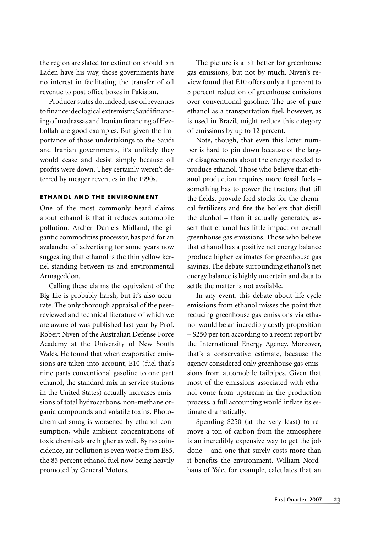the region are slated for extinction should bin Laden have his way, those governments have no interest in facilitating the transfer of oil revenue to post office boxes in Pakistan.

Producer states do, indeed, use oil revenues to finance ideological extremism; Saudi financing of madrassas and Iranian financing of Hezbollah are good examples. But given the importance of those undertakings to the Saudi and Iranian governments, it's unlikely they would cease and desist simply because oil profits were down. They certainly weren't deterred by meager revenues in the 1990s.

#### **ethanol and the environment**

One of the most commonly heard claims about ethanol is that it reduces automobile pollution. Archer Daniels Midland, the gigantic commodities processor, has paid for an avalanche of advertising for some years now suggesting that ethanol is the thin yellow kernel standing between us and environmental Armageddon.

Calling these claims the equivalent of the Big Lie is probably harsh, but it's also accurate. The only thorough appraisal of the peerreviewed and technical literature of which we are aware of was published last year by Prof. Robert Niven of the Australian Defense Force Academy at the University of New South Wales. He found that when evaporative emissions are taken into account, E10 (fuel that's nine parts conventional gasoline to one part ethanol, the standard mix in service stations in the United States) actually increases emissions of total hydrocarbons, non-methane organic compounds and volatile toxins. Photochemical smog is worsened by ethanol consumption, while ambient concentrations of toxic chemicals are higher as well. By no coincidence, air pollution is even worse from E85, the 85 percent ethanol fuel now being heavily promoted by General Motors.

The picture is a bit better for greenhouse gas emissions, but not by much. Niven's review found that E10 offers only a 1 percent to 5 percent reduction of greenhouse emissions over conventional gasoline. The use of pure ethanol as a transportation fuel, however, as is used in Brazil, might reduce this category of emissions by up to 12 percent.

Note, though, that even this latter number is hard to pin down because of the larger disagreements about the energy needed to produce ethanol. Those who believe that ethanol production requires more fossil fuels – something has to power the tractors that till the fields, provide feed stocks for the chemical fertilizers and fire the boilers that distill the alcohol – than it actually generates, assert that ethanol has little impact on overall greenhouse gas emissions. Those who believe that ethanol has a positive net energy balance produce higher estimates for greenhouse gas savings. The debate surrounding ethanol's net energy balance is highly uncertain and data to settle the matter is not available.

In any event, this debate about life-cycle emissions from ethanol misses the point that reducing greenhouse gas emissions via ethanol would be an incredibly costly proposition – \$250 per ton according to a recent report by the International Energy Agency. Moreover, that's a conservative estimate, because the agency considered only greenhouse gas emissions from automobile tailpipes. Given that most of the emissions associated with ethanol come from upstream in the production process, a full accounting would inflate its estimate dramatically.

Spending \$250 (at the very least) to remove a ton of carbon from the atmosphere is an incredibly expensive way to get the job done – and one that surely costs more than it benefits the environment. William Nordhaus of Yale, for example, calculates that an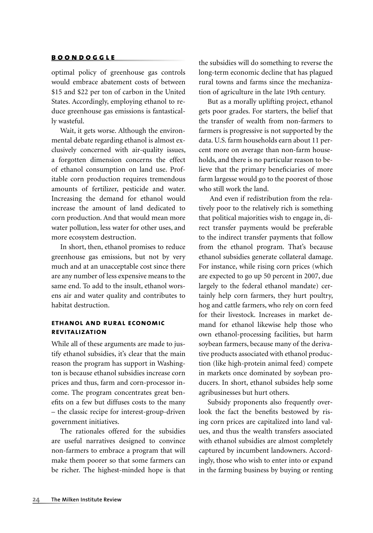optimal policy of greenhouse gas controls would embrace abatement costs of between \$15 and \$22 per ton of carbon in the United States. Accordingly, employing ethanol to reduce greenhouse gas emissions is fantastically wasteful.

Wait, it gets worse. Although the environmental debate regarding ethanol is almost exclusively concerned with air-quality issues, a forgotten dimension concerns the effect of ethanol consumption on land use. Profitable corn production requires tremendous amounts of fertilizer, pesticide and water. Increasing the demand for ethanol would increase the amount of land dedicated to corn production. And that would mean more water pollution, less water for other uses, and more ecosystem destruction.

In short, then, ethanol promises to reduce greenhouse gas emissions, but not by very much and at an unacceptable cost since there are any number of less expensive means to the same end. To add to the insult, ethanol worsens air and water quality and contributes to habitat destruction.

#### **ethanol and rural economic revitalization**

While all of these arguments are made to justify ethanol subsidies, it's clear that the main reason the program has support in Washington is because ethanol subsidies increase corn prices and thus, farm and corn-processor income. The program concentrates great benefits on a few but diffuses costs to the many – the classic recipe for interest-group-driven government initiatives.

The rationales offered for the subsidies are useful narratives designed to convince non-farmers to embrace a program that will make them poorer so that some farmers can be richer. The highest-minded hope is that the subsidies will do something to reverse the long-term economic decline that has plagued rural towns and farms since the mechanization of agriculture in the late 19th century.

But as a morally uplifting project, ethanol gets poor grades. For starters, the belief that the transfer of wealth from non-farmers to farmers is progressive is not supported by the data. U.S. farm households earn about 11 percent more on average than non-farm households, and there is no particular reason to believe that the primary beneficiaries of more farm largesse would go to the poorest of those who still work the land.

 And even if redistribution from the relatively poor to the relatively rich is something that political majorities wish to engage in, direct transfer payments would be preferable to the indirect transfer payments that follow from the ethanol program. That's because ethanol subsidies generate collateral damage. For instance, while rising corn prices (which are expected to go up 50 percent in 2007, due largely to the federal ethanol mandate) certainly help corn farmers, they hurt poultry, hog and cattle farmers, who rely on corn feed for their livestock. Increases in market demand for ethanol likewise help those who own ethanol-processing facilities, but harm soybean farmers, because many of the derivative products associated with ethanol production (like high-protein animal feed) compete in markets once dominated by soybean producers. In short, ethanol subsides help some agribusinesses but hurt others.

Subsidy proponents also frequently overlook the fact the benefits bestowed by rising corn prices are capitalized into land values, and thus the wealth transfers associated with ethanol subsidies are almost completely captured by incumbent landowners. Accordingly, those who wish to enter into or expand in the farming business by buying or renting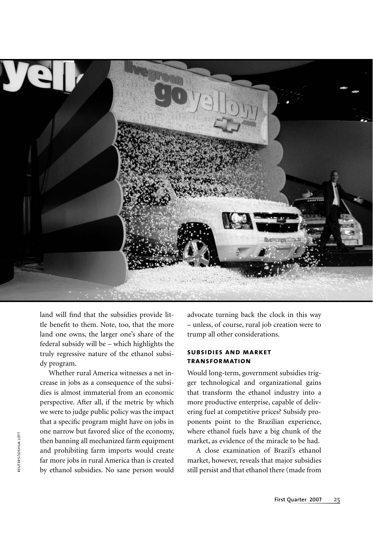

land will find that the subsidies provide little benefit to them. Note, too, that the more land one owns, the larger one's share of the federal subsidy will be – which highlights the truly regressive nature of the ethanol subsidy program.

Whether rural America witnesses a net increase in jobs as a consequence of the subsidies is almost immaterial from an economic perspective. After all, if the metric by which we were to judge public policy was the impact that a specific program might have on jobs in one narrow but favored slice of the economy, then banning all mechanized farm equipment and prohibiting farm imports would create far more jobs in rural America than is created by ethanol subsidies. No sane person would advocate turning back the clock in this way – unless, of course, rural job creation were to trump all other considerations.

#### **subsidies and market transformation**

Would long-term, government subsidies trigger technological and organizational gains that transform the ethanol industry into a more productive enterprise, capable of delivering fuel at competitive prices? Subsidy proponents point to the Brazilian experience, where ethanol fuels have a big chunk of the market, as evidence of the miracle to be had.

A close examination of Brazil's ethanol market, however, reveals that major subsidies still persist and that ethanol there (made from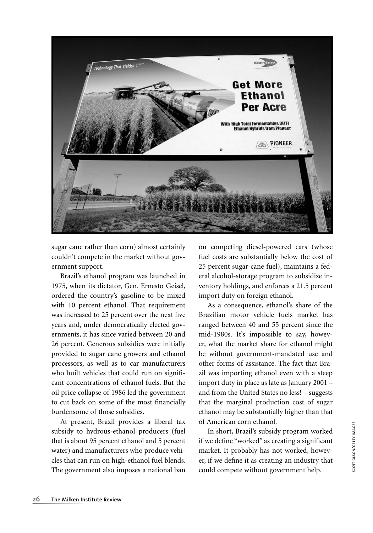

sugar cane rather than corn) almost certainly couldn't compete in the market without government support.

Brazil's ethanol program was launched in 1975, when its dictator, Gen. Ernesto Geisel, ordered the country's gasoline to be mixed with 10 percent ethanol. That requirement was increased to 25 percent over the next five years and, under democratically elected governments, it has since varied between 20 and 26 percent. Generous subsidies were initially provided to sugar cane growers and ethanol processors, as well as to car manufacturers who built vehicles that could run on significant concentrations of ethanol fuels. But the oil price collapse of 1986 led the government to cut back on some of the most financially burdensome of those subsidies.

At present, Brazil provides a liberal tax subsidy to hydrous-ethanol producers (fuel that is about 95 percent ethanol and 5 percent water) and manufacturers who produce vehicles that can run on high-ethanol fuel blends. The government also imposes a national ban

on competing diesel-powered cars (whose fuel costs are substantially below the cost of 25 percent sugar-cane fuel), maintains a federal alcohol-storage program to subsidize inventory holdings, and enforces a 21.5 percent import duty on foreign ethanol.

As a consequence, ethanol's share of the Brazilian motor vehicle fuels market has ranged between 40 and 55 percent since the mid-1980s. It's impossible to say, however, what the market share for ethanol might be without government-mandated use and other forms of assistance. The fact that Brazil was importing ethanol even with a steep import duty in place as late as January 2001 – and from the United States no less! – suggests that the marginal production cost of sugar ethanol may be substantially higher than that of American corn ethanol.

In short, Brazil's subsidy program worked if we define "worked" as creating a significant market. It probably has not worked, however, if we define it as creating an industry that could compete without government help.